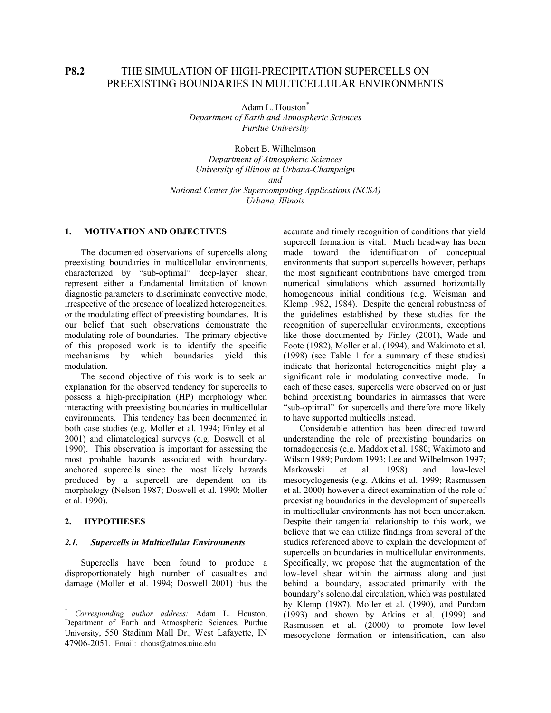# **P8.2** THE SIMULATION OF HIGH-PRECIPITATION SUPERCELLS ON PREEXISTING BOUNDARIES IN MULTICELLULAR ENVIRONMENTS

Adam L. Houston<sup>\*</sup> *Department of Earth and Atmospheric Sciences Purdue University* 

Robert B. Wilhelmson *Department of Atmospheric Sciences University of Illinois at Urbana-Champaign and National Center for Supercomputing Applications (NCSA) Urbana, Illinois* 

## **1. MOTIVATION AND OBJECTIVE[S](#page-0-0)**

The documented observations of supercells along preexisting boundaries in multicellular environments, characterized by "sub-optimal" deep-layer shear, represent either a fundamental limitation of known diagnostic parameters to discriminate convective mode, irrespective of the presence of localized heterogeneities, or the modulating effect of preexisting boundaries. It is our belief that such observations demonstrate the modulating role of boundaries. The primary objective of this proposed work is to identify the specific mechanisms by which boundaries yield this modulation.

The second objective of this work is to seek an explanation for the observed tendency for supercells to possess a high-precipitation (HP) morphology when interacting with preexisting boundaries in multicellular environments. This tendency has been documented in both case studies (e.g. Moller et al. 1994; Finley et al. 2001) and climatological surveys (e.g. Doswell et al. 1990). This observation is important for assessing the most probable hazards associated with boundaryanchored supercells since the most likely hazards produced by a supercell are dependent on its morphology (Nelson 1987; Doswell et al. 1990; Moller et al. 1990).

## **2. HYPOTHESES**

 $\overline{a}$ 

#### *2.1. Supercells in Multicellular Environments*

Supercells have been found to produce a disproportionately high number of casualties and damage (Moller et al. 1994; Doswell 2001) thus the

accurate and timely recognition of conditions that yield supercell formation is vital. Much headway has been made toward the identification of conceptual environments that support supercells however, perhaps the most significant contributions have emerged from numerical simulations which assumed horizontally homogeneous initial conditions (e.g. Weisman and Klemp 1982, 1984). Despite the general robustness of the guidelines established by these studies for the recognition of supercellular environments, exceptions like those documented by Finley (2001), Wade and Foote (1982), Moller et al. (1994), and Wakimoto et al. (1998) (see [Table 1](#page-3-0) for a summary of these studies) indicate that horizontal heterogeneities might play a significant role in modulating convective mode. In each of these cases, supercells were observed on or just behind preexisting boundaries in airmasses that were "sub-optimal" for supercells and therefore more likely to have supported multicells instead.

Considerable attention has been directed toward understanding the role of preexisting boundaries on tornadogenesis (e.g. Maddox et al. 1980; Wakimoto and Wilson 1989; Purdom 1993; Lee and Wilhelmson 1997; Markowski et al. 1998) and low-level mesocyclogenesis (e.g. Atkins et al. 1999; Rasmussen et al. 2000) however a direct examination of the role of preexisting boundaries in the development of supercells in multicellular environments has not been undertaken. Despite their tangential relationship to this work, we believe that we can utilize findings from several of the studies referenced above to explain the development of supercells on boundaries in multicellular environments. Specifically, we propose that the augmentation of the low-level shear within the airmass along and just behind a boundary, associated primarily with the boundary's solenoidal circulation, which was postulated by Klemp (1987), Moller et al. (1990), and Purdom (1993) and shown by Atkins et al. (1999) and Rasmussen et al. (2000) to promote low-level mesocyclone formation or intensification, can also

<span id="page-0-0"></span><sup>\*</sup> *Corresponding author address:* Adam L. Houston, Department of Earth and Atmospheric Sciences, Purdue University, 550 Stadium Mall Dr., West Lafayette, IN 47906-2051. Email: ahous@atmos.uiuc.edu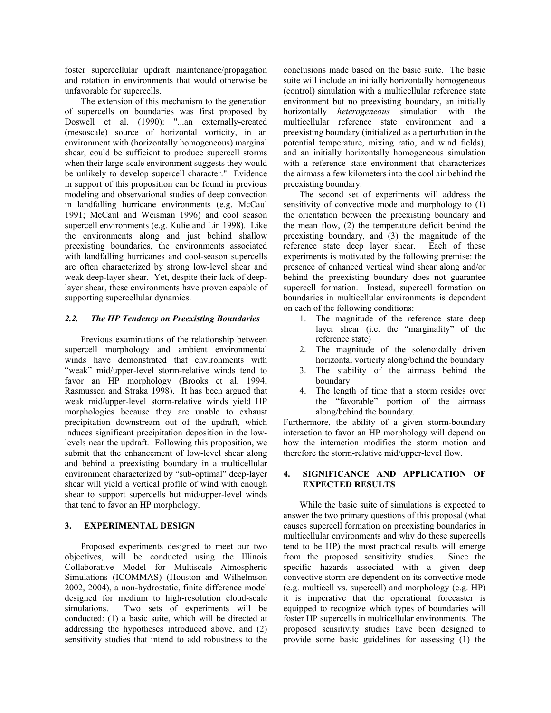foster supercellular updraft maintenance/propagation and rotation in environments that would otherwise be unfavorable for supercells.

The extension of this mechanism to the generation of supercells on boundaries was first proposed by Doswell et al. (1990): "...an externally-created (mesoscale) source of horizontal vorticity, in an environment with (horizontally homogeneous) marginal shear, could be sufficient to produce supercell storms when their large-scale environment suggests they would be unlikely to develop supercell character." Evidence in support of this proposition can be found in previous modeling and observational studies of deep convection in landfalling hurricane environments (e.g. McCaul 1991; McCaul and Weisman 1996) and cool season supercell environments (e.g. Kulie and Lin 1998). Like the environments along and just behind shallow preexisting boundaries, the environments associated with landfalling hurricanes and cool-season supercells are often characterized by strong low-level shear and weak deep-layer shear. Yet, despite their lack of deeplayer shear, these environments have proven capable of supporting supercellular dynamics.

# *2.2. The HP Tendency on Preexisting Boundaries*

Previous examinations of the relationship between supercell morphology and ambient environmental winds have demonstrated that environments with "weak" mid/upper-level storm-relative winds tend to favor an HP morphology (Brooks et al. 1994; Rasmussen and Straka 1998). It has been argued that weak mid/upper-level storm-relative winds yield HP morphologies because they are unable to exhaust precipitation downstream out of the updraft, which induces significant precipitation deposition in the lowlevels near the updraft. Following this proposition, we submit that the enhancement of low-level shear along and behind a preexisting boundary in a multicellular environment characterized by "sub-optimal" deep-layer shear will yield a vertical profile of wind with enough shear to support supercells but mid/upper-level winds that tend to favor an HP morphology.

# **3. EXPERIMENTAL DESIGN**

Proposed experiments designed to meet our two objectives, will be conducted using the Illinois Collaborative Model for Multiscale Atmospheric Simulations (ICOMMAS) (Houston and Wilhelmson 2002, 2004), a non-hydrostatic, finite difference model designed for medium to high-resolution cloud-scale simulations. Two sets of experiments will be conducted: (1) a basic suite, which will be directed at addressing the hypotheses introduced above, and (2) sensitivity studies that intend to add robustness to the

conclusions made based on the basic suite. The basic suite will include an initially horizontally homogeneous (control) simulation with a multicellular reference state environment but no preexisting boundary, an initially horizontally *heterogeneous* simulation with the multicellular reference state environment and a preexisting boundary (initialized as a perturbation in the potential temperature, mixing ratio, and wind fields), and an initially horizontally homogeneous simulation with a reference state environment that characterizes the airmass a few kilometers into the cool air behind the preexisting boundary.

The second set of experiments will address the sensitivity of convective mode and morphology to (1) the orientation between the preexisting boundary and the mean flow, (2) the temperature deficit behind the preexisting boundary, and (3) the magnitude of the reference state deep layer shear. Each of these experiments is motivated by the following premise: the presence of enhanced vertical wind shear along and/or behind the preexisting boundary does not guarantee supercell formation. Instead, supercell formation on boundaries in multicellular environments is dependent on each of the following conditions:

- 1. The magnitude of the reference state deep layer shear (i.e. the "marginality" of the reference state)
- 2. The magnitude of the solenoidally driven horizontal vorticity along/behind the boundary
- 3. The stability of the airmass behind the boundary
- 4. The length of time that a storm resides over the "favorable" portion of the airmass along/behind the boundary.

Furthermore, the ability of a given storm-boundary interaction to favor an HP morphology will depend on how the interaction modifies the storm motion and therefore the storm-relative mid/upper-level flow.

# **4. SIGNIFICANCE AND APPLICATION OF EXPECTED RESULTS**

While the basic suite of simulations is expected to answer the two primary questions of this proposal (what causes supercell formation on preexisting boundaries in multicellular environments and why do these supercells tend to be HP) the most practical results will emerge from the proposed sensitivity studies. Since the specific hazards associated with a given deep convective storm are dependent on its convective mode (e.g. multicell vs. supercell) and morphology (e.g. HP) it is imperative that the operational forecaster is equipped to recognize which types of boundaries will foster HP supercells in multicellular environments. The proposed sensitivity studies have been designed to provide some basic guidelines for assessing (1) the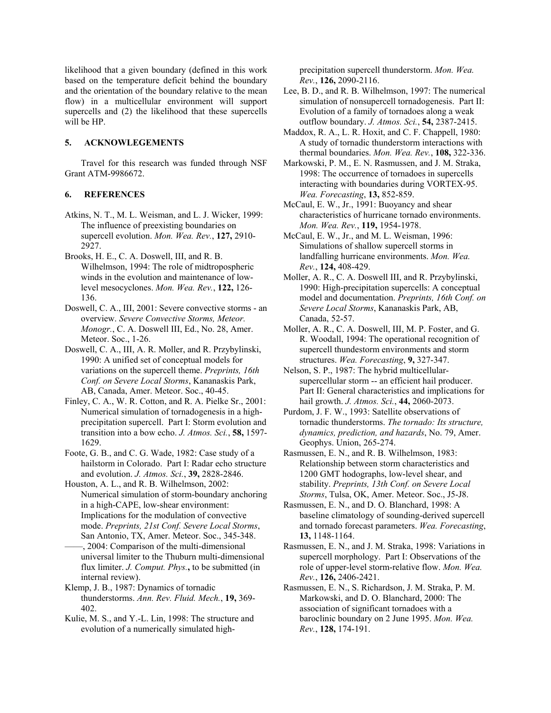likelihood that a given boundary (defined in this work based on the temperature deficit behind the boundary and the orientation of the boundary relative to the mean flow) in a multicellular environment will support supercells and (2) the likelihood that these supercells will be HP.

#### **5. ACKNOWLEGEMENTS**

Travel for this research was funded through NSF Grant ATM-9986672.

#### **6. REFERENCES**

- Atkins, N. T., M. L. Weisman, and L. J. Wicker, 1999: The influence of preexisting boundaries on supercell evolution. *Mon. Wea. Rev.*, **127,** 2910- 2927.
- Brooks, H. E., C. A. Doswell, III, and R. B. Wilhelmson, 1994: The role of midtropospheric winds in the evolution and maintenance of lowlevel mesocyclones. *Mon. Wea. Rev.*, **122,** 126- 136.
- Doswell, C. A., III, 2001: Severe convective storms an overview. *Severe Convective Storms, Meteor. Monogr.*, C. A. Doswell III, Ed., No. 28, Amer. Meteor. Soc., 1-26.
- Doswell, C. A., III, A. R. Moller, and R. Przybylinski, 1990: A unified set of conceptual models for variations on the supercell theme. *Preprints, 16th Conf. on Severe Local Storms*, Kananaskis Park, AB, Canada, Amer. Meteor. Soc., 40-45.
- Finley, C. A., W. R. Cotton, and R. A. Pielke Sr., 2001: Numerical simulation of tornadogenesis in a highprecipitation supercell. Part I: Storm evolution and transition into a bow echo. *J. Atmos. Sci.*, **58,** 1597- 1629.
- Foote, G. B., and C. G. Wade, 1982: Case study of a hailstorm in Colorado. Part I: Radar echo structure and evolution. *J. Atmos. Sci.*, **39,** 2828-2846.
- Houston, A. L., and R. B. Wilhelmson, 2002: Numerical simulation of storm-boundary anchoring in a high-CAPE, low-shear environment: Implications for the modulation of convective mode. *Preprints, 21st Conf. Severe Local Storms*, San Antonio, TX, Amer. Meteor. Soc., 345-348.
- ——, 2004: Comparison of the multi-dimensional universal limiter to the Thuburn multi-dimensional flux limiter. *J. Comput. Phys.***,** to be submitted (in internal review).
- Klemp, J. B., 1987: Dynamics of tornadic thunderstorms. *Ann. Rev. Fluid. Mech.*, **19,** 369- 402.
- Kulie, M. S., and Y.-L. Lin, 1998: The structure and evolution of a numerically simulated high-

precipitation supercell thunderstorm. *Mon. Wea. Rev.*, **126,** 2090-2116.

- Lee, B. D., and R. B. Wilhelmson, 1997: The numerical simulation of nonsupercell tornadogenesis. Part II: Evolution of a family of tornadoes along a weak outflow boundary. *J. Atmos. Sci.*, **54,** 2387-2415.
- Maddox, R. A., L. R. Hoxit, and C. F. Chappell, 1980: A study of tornadic thunderstorm interactions with thermal boundaries. *Mon. Wea. Rev.*, **108,** 322-336.
- Markowski, P. M., E. N. Rasmussen, and J. M. Straka, 1998: The occurrence of tornadoes in supercells interacting with boundaries during VORTEX-95. *Wea. Forecasting*, **13,** 852-859.
- McCaul, E. W., Jr., 1991: Buoyancy and shear characteristics of hurricane tornado environments. *Mon. Wea. Rev.*, **119,** 1954-1978.
- McCaul, E. W., Jr., and M. L. Weisman, 1996: Simulations of shallow supercell storms in landfalling hurricane environments. *Mon. Wea. Rev.*, **124,** 408-429.
- Moller, A. R., C. A. Doswell III, and R. Przybylinski, 1990: High-precipitation supercells: A conceptual model and documentation. *Preprints, 16th Conf. on Severe Local Storms*, Kananaskis Park, AB, Canada, 52-57.
- Moller, A. R., C. A. Doswell, III, M. P. Foster, and G. R. Woodall, 1994: The operational recognition of supercell thundestorm environments and storm structures. *Wea. Forecasting*, **9,** 327-347.
- Nelson, S. P., 1987: The hybrid multicellularsupercellular storm -- an efficient hail producer. Part II: General characteristics and implications for hail growth. *J. Atmos. Sci.*, **44,** 2060-2073.
- Purdom, J. F. W., 1993: Satellite observations of tornadic thunderstorms. *The tornado: Its structure, dynamics, prediction, and hazards*, No. 79, Amer. Geophys. Union, 265-274.
- Rasmussen, E. N., and R. B. Wilhelmson, 1983: Relationship between storm characteristics and 1200 GMT hodographs, low-level shear, and stability. *Preprints, 13th Conf. on Severe Local Storms*, Tulsa, OK, Amer. Meteor. Soc., J5-J8.
- Rasmussen, E. N., and D. O. Blanchard, 1998: A baseline climatology of sounding-derived supercell and tornado forecast parameters. *Wea. Forecasting*, **13,** 1148-1164.
- Rasmussen, E. N., and J. M. Straka, 1998: Variations in supercell morphology. Part I: Observations of the role of upper-level storm-relative flow. *Mon. Wea. Rev.*, **126,** 2406-2421.
- Rasmussen, E. N., S. Richardson, J. M. Straka, P. M. Markowski, and D. O. Blanchard, 2000: The association of significant tornadoes with a baroclinic boundary on 2 June 1995. *Mon. Wea. Rev.*, **128,** 174-191.